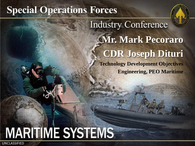# **Special Operations Forces**



**Industry Conference Mr. Mark Pecoraro CDR Joseph Dituri Technology Development Objectives Engineering, PEO Maritime**

# **MARITIME SYSTEMS**

UNCLASSIFIED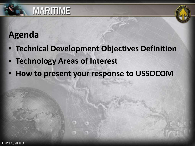



#### **Agenda**

- **Technical Development Objectives Definition**
- **Technology Areas of Interest**
- **How to present your response to USSOCOM**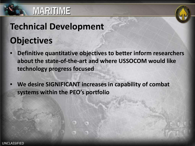



# **Technical Development Objectives**

- **Definitive quantitative objectives to better inform researchers about the state-of-the-art and where USSOCOM would like technology progress focused**
- **We desire SIGNIFICANT increases in capability of combat systems within the PEO's portfolio**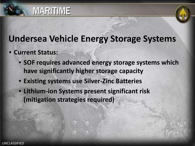

### **Undersea Vehicle Energy Storage Systems**

- **Current Status:**
	- **SOF requires advanced energy storage systems which have significantly higher storage capacity**
	- **Existing systems use Silver-Zinc Batteries**
	- **Lithium-ion Systems present significant risk (mitigation strategies required)**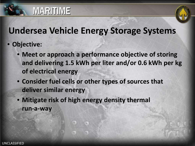

#### **Undersea Vehicle Energy Storage Systems**

- **Objective:**
	- **Meet or approach a performance objective of storing and delivering 1.5 kWh per liter and/or 0.6 kWh per kg of electrical energy**
	- **Consider fuel cells or other types of sources that deliver similar energy**
	- **Mitigate risk of high energy density thermal run-a-way**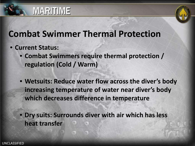

#### **Combat Swimmer Thermal Protection**

- **Current Status:** 
	- **Combat Swimmers require thermal protection / regulation (Cold / Warm)**
	- **Wetsuits: Reduce water flow across the diver's body increasing temperature of water near diver's body which decreases difference in temperature**

• **Dry suits: Surrounds diver with air which has less heat transfer**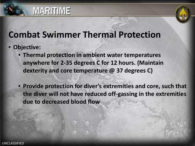

#### **Combat Swimmer Thermal Protection**

- **Objective:** 
	- **Thermal protection in ambient water temperatures anywhere for 2-35 degrees C for 12 hours. (Maintain dexterity and core temperature @ 37 degrees C)**
	- **Provide protection for diver's extremities and core, such that the diver will not have reduced off-gassing in the extremities due to decreased blood flow**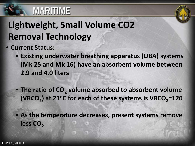

# **Lightweight, Small Volume CO2 Removal Technology**

- **Current Status:** 
	- **Existing underwater breathing apparatus (UBA) systems (Mk 25 and Mk 16) have an absorbent volume between 2.9 and 4.0 liters**
	- The ratio of CO<sub>2</sub> volume absorbed to absorbent volume **(VRCO<sub>2</sub>) at 21°C for each of these systems is VRCO<sub>2</sub>=120**
	- **As the temperature decreases, present systems remove**  less CO<sub>2</sub>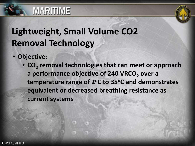

# **Lightweight, Small Volume CO2 Removal Technology**

- **Objective:** 
	- CO<sub>2</sub> removal technologies that can meet or approach a performance objective of 240 VRCO<sub>2</sub> over a temperature range of 2<sup>o</sup>C to 35<sup>o</sup>C and demonstrates **equivalent or decreased breathing resistance as current systems**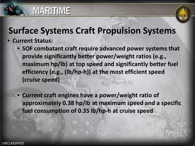

#### **Surface Systems Craft Propulsion Systems**

• **Current Status:** 

**MARITIME** 

- **SOF combatant craft require advanced power systems that provide significantly better power/weight ratios (e.g., maximum hp/lb) at top speed and significantly better fuel efficiency (e.g., (lb/hp-h)) at the most efficient speed (cruise speed)**
- **Current craft engines have a power/weight ratio of approximately 0.38 hp/lb at maximum speed and a specific fuel consumption of 0.35 lb/hp-h at cruise speed**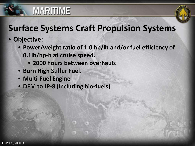

### **Surface Systems Craft Propulsion Systems**

- **Objective:** 
	- **Power/weight ratio of 1.0 hp/lb and/or fuel efficiency of 0.1lb/hp-h at cruise speed.**
		- **2000 hours between overhauls**
	- **Burn High Sulfur Fuel.**

**MARITIME** 

- **Multi-Fuel Engine**
- **DFM to JP-8 (including bio-fuels)**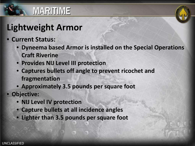

# **Lightweight Armor**

**MARITIME** 

- **Current Status:** 
	- **Dyneema based Armor is installed on the Special Operations Craft Riverine**
	- **Provides NIJ Level III protection**
	- **Captures bullets off angle to prevent ricochet and fragmentation**
	- **Approximately 3.5 pounds per square foot**
- **Objective:** 
	- **NIJ Level IV protection**
	- **Capture bullets at all incidence angles**
	- **Lighter than 3.5 pounds per square foot**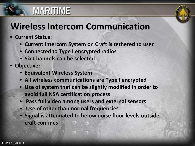

#### **Wireless Intercom Communication**

- **Current Status:** 
	- **Current Intercom System on Craft is tethered to user**
	- **Connected to Type I encrypted radios**
	- **Six Channels can be selected**
- **Objective:** 
	- **Equivalent Wireless System**
	- **All wireless communications are Type I encrypted**
	- **Use of system that can be slightly modified in order to avoid full NSA certification process**
	- **Pass full video among users and external sensors**
	- **Use of other than normal frequencies**
	- **Signal is attenuated to below noise floor levels outside craft confines**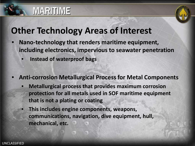

#### **Other Technology Areas of Interest**

- **Nano-technology that renders maritime equipment, including electronics, impervious to seawater penetration**
	- **Instead of waterproof bags**
- **Anti-corrosion Metallurgical Process for Metal Components** 
	- **Metallurgical process that provides maximum corrosion protection for all metals used in SOF maritime equipment that is not a plating or coating**
	- **This includes engine components, weapons, communications, navigation, dive equipment, hull, mechanical, etc.**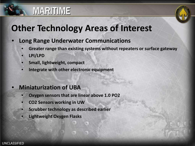

# **Other Technology Areas of Interest**

- **Long Range Underwater Communications**
	- **Greater range than existing systems without repeaters or surface gateway**
	- **LPI/LPD**
	- **Small, lightweight, compact**
	- **Integrate with other electronic equipment**

#### • **Miniaturization of UBA**

- **Oxygen sensors that are linear above 1.0 PO2**
- **CO2 Sensors working in UW**
- **Scrubber technology as described earlier**
- **Lightweight Oxygen Flasks**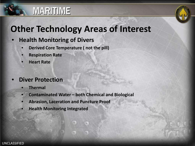

### **Other Technology Areas of Interest**

#### • **Health Monitoring of Divers**

- **Derived Core Temperature ( not the pill)**
- **Respiration Rate**
- **Heart Rate**

#### • **Diver Protection**

- **Thermal**
- **Contaminated Water – both Chemical and Biological**
- **Abrasion, Laceration and Puncture Proof**
- **Health Monitoring Integrated**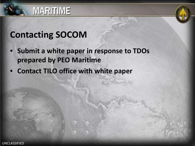



#### **Contacting SOCOM**

- **Submit a white paper in response to TDOs prepared by PEO Maritime**
- **Contact TILO office with white paper**